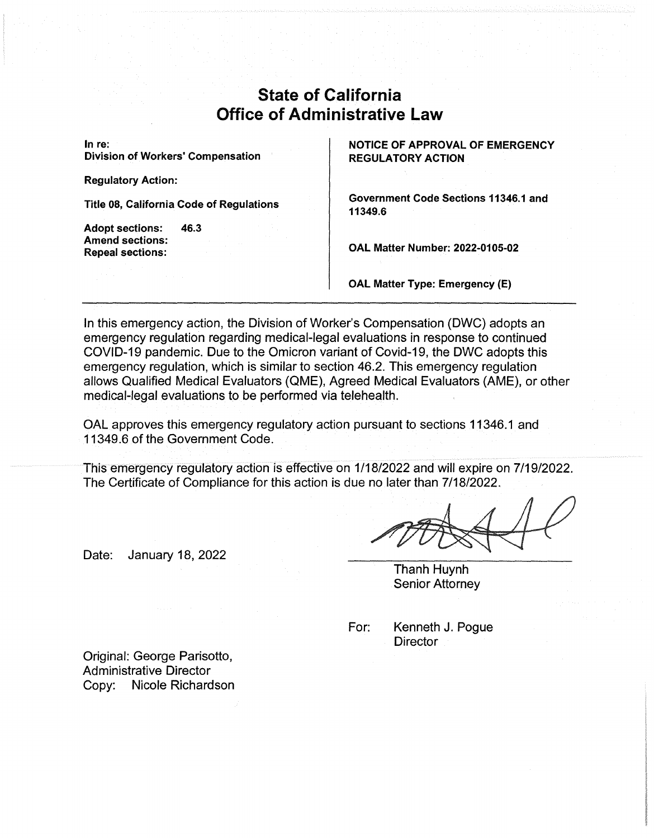## **State of California Office of Administrative Law**

**In re: Division of Workers' Compensation** 

**Regulatory Action:** 

**Title 08, California Code of Regulations** 

**Adopt sections: 46.3 Amend sections: Repeal sections:** 

**NOTICE OF APPROVAL OF EMERGENCY REGULATORY ACTION** 

**Government Code Sections 11346.1 and 11349.6** 

**OAL Matter Number: 2022-0105-02** 

**OAL Matter Type: Emergency** (E)

In this emergency action, the Division of Worker's Compensation (DWC) adopts an emergency regulation regarding medical-legal evaluations in response to continued COVID-19 pandemic. Due to the Omicron variant of Covid-19, the DWC adopts this emergency regulation, which is similar to section 46.2. This emergency regulation allows Qualified Medical Evaluators (QME), Agreed Medical Evaluators (AME), or other medical-legal evaluations to be performed via telehealth.

OAL approves this emergency regulatory action pursuant to sections 11346.1 and 11349.6 of the Government Code.

This emergency regulatory action is effective on 1/18/2022 and will expire on 7/19/2022. The Certificate of Compliance for this action is due no later than 7/18/2022.

Date: January 18, 2022

Thanh Huynh Senior Attorney

For: Kenneth J. Pogue **Director** 

Original: George Parisotto, Administrative Director Copy: Nicole Richardson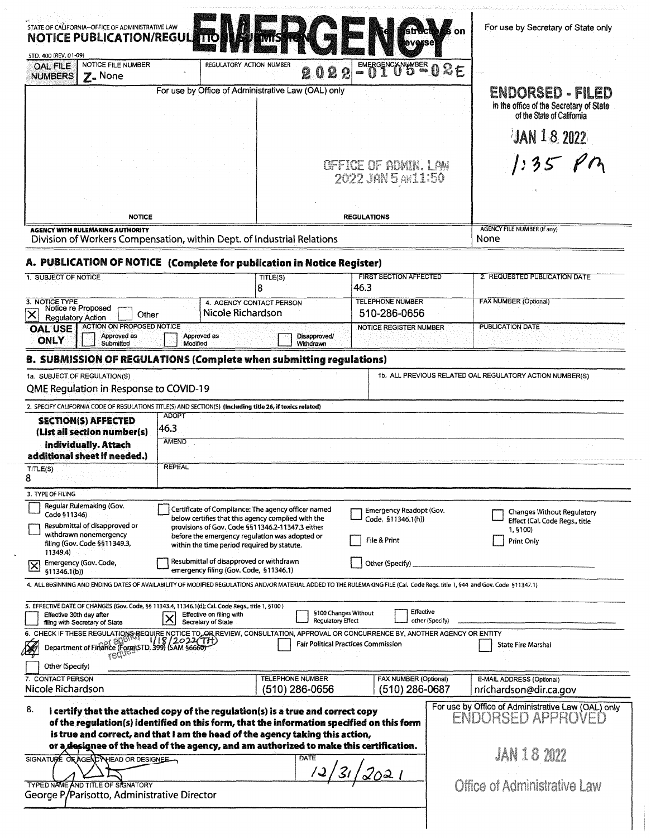|                                                                                                                                                                                                                                                                                                                                                                                                       | STATE OF CALIFORNIA-OFFICE OF ADMINISTRATIVE LAW<br><b>NOTICE PUBLICATION/REGUL</b> |                                                                                                                                                                                                                                                                |                                               |                                                               |                                                                         | For use by Secretary of State only                                  |  |
|-------------------------------------------------------------------------------------------------------------------------------------------------------------------------------------------------------------------------------------------------------------------------------------------------------------------------------------------------------------------------------------------------------|-------------------------------------------------------------------------------------|----------------------------------------------------------------------------------------------------------------------------------------------------------------------------------------------------------------------------------------------------------------|-----------------------------------------------|---------------------------------------------------------------|-------------------------------------------------------------------------|---------------------------------------------------------------------|--|
| STD, 400 (REV, 01-09)<br><b>OAL FILE</b>                                                                                                                                                                                                                                                                                                                                                              | NOTICE FILE NUMBER                                                                  | REGULATORY ACTION NUMBER                                                                                                                                                                                                                                       | 2<br>2                                        | EMERGENCXNUMBER 02E<br>$\Omega$<br><b>COOL</b>                |                                                                         |                                                                     |  |
| <b>NUMBERS</b>                                                                                                                                                                                                                                                                                                                                                                                        | $Z$ - None                                                                          | For use by Office of Administrative Law (OAL) only                                                                                                                                                                                                             |                                               |                                                               |                                                                         | ENDORSED - FILED<br>in the office of the Secretary of State         |  |
|                                                                                                                                                                                                                                                                                                                                                                                                       |                                                                                     |                                                                                                                                                                                                                                                                |                                               |                                                               |                                                                         | of the State of California                                          |  |
|                                                                                                                                                                                                                                                                                                                                                                                                       |                                                                                     |                                                                                                                                                                                                                                                                |                                               |                                                               |                                                                         | $JAN$ 18 2022                                                       |  |
|                                                                                                                                                                                                                                                                                                                                                                                                       |                                                                                     |                                                                                                                                                                                                                                                                |                                               | OFFICE OF ADMIN. LAW<br>2022 JAN 5 AWL1:50                    |                                                                         | $1:35$ PM                                                           |  |
| <b>NOTICE</b>                                                                                                                                                                                                                                                                                                                                                                                         |                                                                                     |                                                                                                                                                                                                                                                                |                                               | <b>REGULATIONS</b>                                            |                                                                         |                                                                     |  |
|                                                                                                                                                                                                                                                                                                                                                                                                       | <b>AGENCY WITH RULEMAKING AUTHORITY</b>                                             | Division of Workers Compensation, within Dept. of Industrial Relations                                                                                                                                                                                         |                                               |                                                               | <b>AGENCY FILE NUMBER (If any)</b><br>None                              |                                                                     |  |
|                                                                                                                                                                                                                                                                                                                                                                                                       |                                                                                     |                                                                                                                                                                                                                                                                |                                               |                                                               |                                                                         |                                                                     |  |
| 1. SUBJECT OF NOTICE                                                                                                                                                                                                                                                                                                                                                                                  |                                                                                     | A. PUBLICATION OF NOTICE (Complete for publication in Notice Register)                                                                                                                                                                                         | TITLE(S)                                      | <b>FIRST SECTION AFFECTED</b>                                 |                                                                         | 2. REQUESTED PUBLICATION DATE                                       |  |
|                                                                                                                                                                                                                                                                                                                                                                                                       |                                                                                     |                                                                                                                                                                                                                                                                | 8                                             | 46.3<br><b>TELEPHONE NUMBER</b>                               |                                                                         |                                                                     |  |
| 3. NOTICE TYPE<br>Notice re Proposed<br>Other<br><b>Requiatory Action</b>                                                                                                                                                                                                                                                                                                                             |                                                                                     |                                                                                                                                                                                                                                                                | 4. AGENCY CONTACT PERSON<br>Nicole Richardson |                                                               |                                                                         | <b>FAX NUMBER (Optional)</b>                                        |  |
| <b>OAL USE</b><br><b>ONLY</b>                                                                                                                                                                                                                                                                                                                                                                         | <b>ACTION ON PROPOSED NOTICE</b><br>Approved as<br>Submitted                        | Approved as<br>Modified                                                                                                                                                                                                                                        | Disapproved/<br>Withdrawn                     | <b>NOTICE REGISTER NUMBER</b>                                 | <b>PUBLICATION DATE</b>                                                 |                                                                     |  |
|                                                                                                                                                                                                                                                                                                                                                                                                       |                                                                                     | B. SUBMISSION OF REGULATIONS (Complete when submitting regulations)                                                                                                                                                                                            |                                               |                                                               |                                                                         |                                                                     |  |
| 1b. ALL PREVIOUS RELATED OAL REGULATORY ACTION NUMBER(S)<br>1a. SUBJECT OF REGULATION(S)<br>QME Regulation in Response to COVID-19                                                                                                                                                                                                                                                                    |                                                                                     |                                                                                                                                                                                                                                                                |                                               |                                                               |                                                                         |                                                                     |  |
|                                                                                                                                                                                                                                                                                                                                                                                                       |                                                                                     | 2. SPECIFY CALIFORNIA CODE OF REGULATIONS TITLE(S) AND SECTION(S) (Including title 26, if toxics related)                                                                                                                                                      |                                               |                                                               |                                                                         |                                                                     |  |
|                                                                                                                                                                                                                                                                                                                                                                                                       | <b>SECTION(S) AFFECTED</b><br>(List all section number(s)                           | <b>ADOPT</b><br>46.3                                                                                                                                                                                                                                           |                                               |                                                               |                                                                         |                                                                     |  |
|                                                                                                                                                                                                                                                                                                                                                                                                       | individually. Attach<br>additional sheet if needed.)                                | AMEND                                                                                                                                                                                                                                                          |                                               |                                                               |                                                                         |                                                                     |  |
| TITLE(S)<br>8                                                                                                                                                                                                                                                                                                                                                                                         |                                                                                     | <b>REPEAL</b>                                                                                                                                                                                                                                                  |                                               |                                                               |                                                                         |                                                                     |  |
| 3. TYPE OF FILING                                                                                                                                                                                                                                                                                                                                                                                     |                                                                                     |                                                                                                                                                                                                                                                                |                                               |                                                               |                                                                         |                                                                     |  |
| Requiar Rulemaking (Gov.<br>Certificate of Compliance: The agency officer named<br>Code §11346)<br>below certifies that this agency complied with the<br>Resubmittal of disapproved or<br>provisions of Gov. Code §§11346.2-11347.3 either<br>withdrawn nonemergency<br>before the emergency regulation was adopted or<br>filing (Gov. Code §§11349.3,<br>within the time period required by statute. |                                                                                     |                                                                                                                                                                                                                                                                |                                               | Emergency Readopt (Gov.<br>Code, §11346.1(h))<br>File & Print | 1,5100)<br><b>Print Only</b>                                            | <b>Changes Without Regulatory</b><br>Effect (Cal. Code Regs., title |  |
| 11349.4)<br>∣×<br>\$11346.1(b)]                                                                                                                                                                                                                                                                                                                                                                       | Emergency (Gov. Code,                                                               | Resubmittal of disapproved or withdrawn<br>emergency filing (Gov. Code, §11346.1)                                                                                                                                                                              |                                               | Other (Specify)                                               |                                                                         |                                                                     |  |
|                                                                                                                                                                                                                                                                                                                                                                                                       |                                                                                     | 4. ALL BEGINNING AND ENDING DATES OF AVAILABILITY OF MODIFIED REGULATIONS AND/OR MATERIAL ADDED TO THE RULEMAKING FILE (Cal. Code Regs. title 1, §44 and Gov. Code §11347.1)                                                                                   |                                               |                                                               |                                                                         |                                                                     |  |
| Effective 30th day after                                                                                                                                                                                                                                                                                                                                                                              | filing with Secretary of State                                                      | 5. EFFECTIVE DATE OF CHANGES (Gov. Code, §§ 11343.4, 11346.)(d); Cal. Code Regs., title 1, §100)<br>Effective on filing with<br>$\boldsymbol{\times}$<br>Secretary of State                                                                                    | <b>Regulatory Effect</b>                      | Effective<br>§100 Changes Without<br>other (Specify)          |                                                                         |                                                                     |  |
|                                                                                                                                                                                                                                                                                                                                                                                                       |                                                                                     | 6. CHECK IF THESE REGULATIONS REQUIRE NOTICE TO OR REVIEW, CONSULTATION, APPROVAL OR CONCURRENCE BY, ANOTHER AGENCY OR ENTITY<br>Department of Finance (Forms) STD. 399) (SAM §6660)<br>TOULOGY TO A COLLEGY COMMET COMMET FOR THE P                           |                                               |                                                               | <b>State Fire Marshal</b>                                               |                                                                     |  |
| Other (Specify)                                                                                                                                                                                                                                                                                                                                                                                       |                                                                                     |                                                                                                                                                                                                                                                                |                                               |                                                               |                                                                         |                                                                     |  |
| 7. CONTACT PERSON<br>Nicole Richardson                                                                                                                                                                                                                                                                                                                                                                |                                                                                     |                                                                                                                                                                                                                                                                | <b>TELEPHONE NUMBER</b><br>$(510)$ 286-0656   | <b>FAX NUMBER (Optional)</b><br>(510) 286-0687                | E-MAIL ADDRESS (Optional)<br>nrichardson@dir.ca.gov                     |                                                                     |  |
| 8.                                                                                                                                                                                                                                                                                                                                                                                                    |                                                                                     | I certify that the attached copy of the regulation(s) is a true and correct copy<br>of the regulation(s) identified on this form, that the information specified on this form<br>is true and correct, and that I am the head of the agency taking this action, |                                               |                                                               | For use by Office of Administrative Law (OAL) only<br>ENDORSED APPROVED |                                                                     |  |
| or a designee of the head of the agency, and am authorized to make this certification.<br>SIGNATURE OR AGENCY HEAD OR DESIGNEE                                                                                                                                                                                                                                                                        |                                                                                     |                                                                                                                                                                                                                                                                |                                               |                                                               |                                                                         | <b>JAN 18 2022</b>                                                  |  |
|                                                                                                                                                                                                                                                                                                                                                                                                       |                                                                                     |                                                                                                                                                                                                                                                                |                                               | <b>DATE</b>                                                   |                                                                         |                                                                     |  |
| TYPED NAME AND TITLE OF SIGNATORY<br>George P/Parisotto, Administrative Director                                                                                                                                                                                                                                                                                                                      |                                                                                     |                                                                                                                                                                                                                                                                |                                               |                                                               |                                                                         | Office of Administrative Law                                        |  |
|                                                                                                                                                                                                                                                                                                                                                                                                       |                                                                                     |                                                                                                                                                                                                                                                                |                                               |                                                               |                                                                         |                                                                     |  |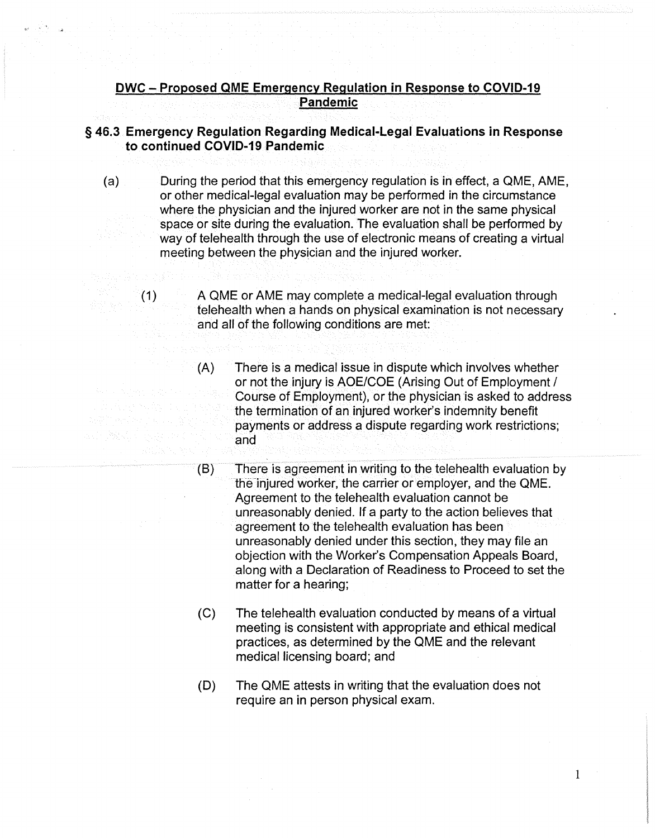## **DWC - Proposed QME Emergency Regulation in Response to COVID-19 Pandemic**

## § **46.3 Emergency Regulation Regarding Medical-Legal Evaluations in Response to continued COVID-19 Pandemic**

- (a) During the period that this emergency regulation is in effect, a QME, AME, or other medical-legal evaluation may be performed in the circumstance where the physician and the injured worker are not in the same physical space or site during the evaluation. The evaluation shall be performed by way of telehealth through the use of electronic means of creating a virtual meeting between the physician and the injured worker.
	- (1) A QME or AME may complete a medical-legal evaluation through telehealth when a hands on physical examination is not necessary and all of the following conditions are met:
		- (A) There is a medical issue in dispute which involves whether or not the injury is AOE/COE (Arising Out of Employment/ Course of Employment), or the physician is asked to address the termination of an injured worker's indemnity benefit payments or address a dispute regarding work restrictions; and
		- (8) There is agreement in writing to the telehealth evaluation by the injured worker, the carrier or employer, and the QME. Agreement to the telehealth evaluation cannot be unreasonably denied. If a party to the action believes that agreement to the telehealth evaluation has been unreasonably denied under this section, they may file an objection with the Worker's Compensation Appeals Board, along with a Declaration of Readiness to Proceed to set the matter for a hearing;
		- (C) The telehealth evaluation conducted by means of a virtual meeting is consistent with appropriate and ethical medical practices, as determined by the QME and the relevant medical licensing board; and
		- (D) The QME attests in writing that the evaluation does not require an in person physical exam.

1